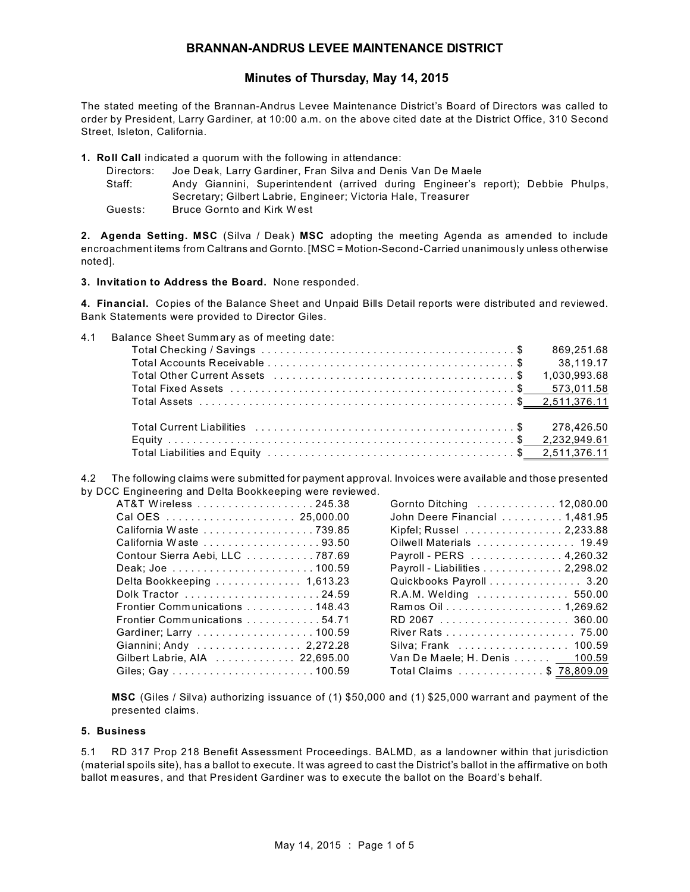# **BRANNAN-ANDRUS LEVEE MAINTENANCE DISTRICT**

# **Minutes of Thursday, May 14, 2015**

The stated meeting of the Brannan-Andrus Levee Maintenance District's Board of Directors was called to order by President, Larry Gardiner, at 10:00 a.m. on the above cited date at the District Office, 310 Second Street, Isleton, California.

**1. Roll Call** indicated a quorum with the following in attendance:

Directors: Joe Deak, Larry Gardiner, Fran Silva and Denis Van De Maele Staff: Andy Giannini, Superintendent (arrived during Engineer's report); Debbie Phulps, Secretary; Gilbert Labrie, Engineer; Victoria Hale, Treasurer Guests: Bruce Gornto and Kirk West

**2. Agenda Setting. MSC** (Silva / Deak) **MSC** adopting the meeting Agenda as amended to include encroachment items from Caltrans and Gornto. [MSC = Motion-Second-Carried unanimously unless otherwise noted].

**3. Invitation to Address the Board.** None responded.

**4. Financial.** Copies of the Balance Sheet and Unpaid Bills Detail reports were distributed and reviewed. Bank Statements were provided to Director Giles.

4.1 Balance Sheet Summ ary as of meeting date:

4.2 The following claims were submitted for payment approval. Invoices were available and those presented by DCC Engineering and Delta Bookkeeping were reviewed.

| Cal OES  25,000.00              |  |
|---------------------------------|--|
| California Waste 739.85         |  |
| California Waste 93.50          |  |
| Contour Sierra Aebi, LLC 787.69 |  |
|                                 |  |
| Delta Bookkeeping  1,613.23     |  |
| Dolk Tractor 24.59              |  |
| Frontier Communications 148.43  |  |
| Frontier Communications 54.71   |  |
|                                 |  |
| Giannini; Andy  2,272.28        |  |
| Gilbert Labrie, AIA 22,695.00   |  |
|                                 |  |
|                                 |  |

| Gornto Ditching  12,080.00               |
|------------------------------------------|
| John Deere Financial 1,481.95            |
| Kipfel; Russel 2,233.88                  |
| Oilwell Materials 19.49                  |
| Payroll - PERS 4,260.32                  |
| Payroll - Liabilities 2,298.02           |
| Quickbooks Payroll 3.20                  |
| R.A.M. Welding  550.00                   |
| Ramos Oil 1,269.62                       |
|                                          |
|                                          |
| Silva; Frank   100.59                    |
| Van De Maele; H. Denis <u>___ 100.59</u> |
| Total Claims \$ <u>78,809.09</u>         |

**MSC** (Giles / Silva) authorizing issuance of (1) \$50,000 and (1) \$25,000 warrant and payment of the presented claims.

#### **5. Business**

5.1 RD 317 Prop 218 Benefit Assessment Proceedings. BALMD, as a landowner within that jurisdiction (material spoils site), has a ballot to execute. It was agreed to cast the District's ballot in the affirmative on both ballot measures, and that President Gardiner was to execute the ballot on the Board's behalf.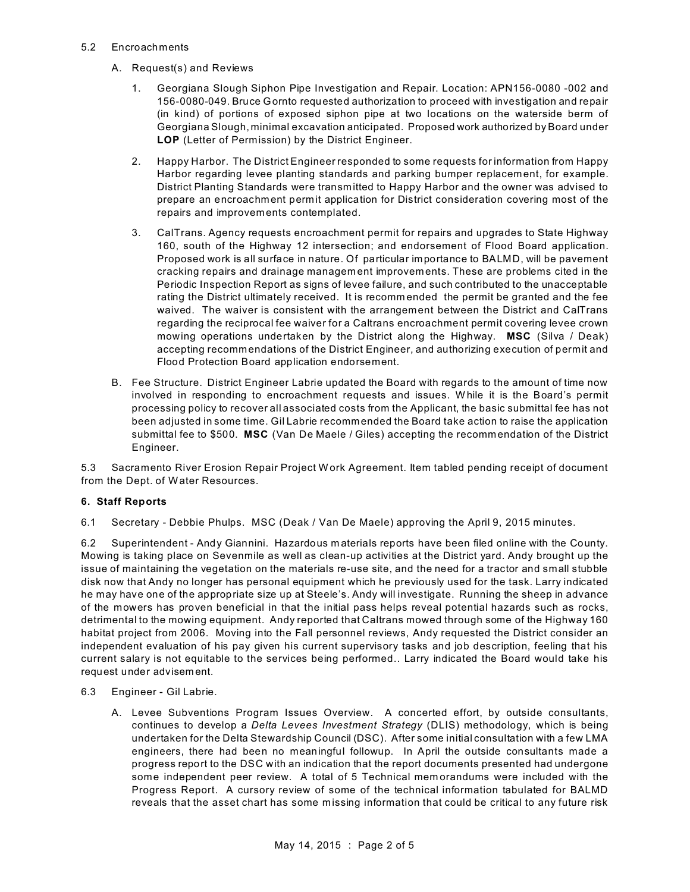### 5.2 Encroachments

- A. Request(s) and Reviews
	- 1. Georgiana Slough Siphon Pipe Investigation and Repair. Location: APN156-0080 -002 and 156-0080-049. Bruce Gornto requested authorization to proceed with investigation and repair (in kind) of portions of exposed siphon pipe at two locations on the waterside berm of Georgiana Slough, minimal excavation anticipated. Proposed work authorized by Board under **LOP** (Letter of Permission) by the District Engineer.
	- 2. Happy Harbor. The District Engineer responded to some requests for information from Happy Harbor regarding levee planting standards and parking bumper replacement, for example. District Planting Standards were transm itted to Happy Harbor and the owner was advised to prepare an encroachment permit application for District consideration covering most of the repairs and improvements contemplated.
	- 3. CalTrans. Agency requests encroachment permit for repairs and upgrades to State Highway 160, south of the Highway 12 intersection; and endorsement of Flood Board application. Proposed work is all surface in nature. Of particular importance to BALMD, will be pavement cracking repairs and drainage managem ent improvements. These are problems cited in the Periodic Inspection Report as signs of levee failure, and such contributed to the unacceptable rating the District ultimately received. It is recomm ended the permit be granted and the fee waived. The waiver is consistent with the arrangement between the District and CalTrans regarding the reciprocal fee waiver for a Caltrans encroachment permit covering levee crown mowing operations undertaken by the District along the Highway. **MSC** (Silva / Deak) accepting recommendations of the District Engineer, and authorizing execution of permit and Flood Protection Board application endorsement.
- B. Fee Structure. District Engineer Labrie updated the Board with regards to the amount of time now involved in responding to encroachment requests and issues. W hile it is the Board's permit processing policy to recover all associated costs from the Applicant, the basic submittal fee has not been adjusted in some time. Gil Labrie recommended the Board take action to raise the application submittal fee to \$500. **MSC** (Van De Maele / Giles) accepting the recommendation of the District Engineer.

5.3 Sacramento River Erosion Repair Project W ork Agreement. Item tabled pending receipt of document from the Dept. of Water Resources.

## **6. Staff Reports**

6.1 Secretary - Debbie Phulps. MSC (Deak / Van De Maele) approving the April 9, 2015 minutes.

6.2 Superintendent - Andy Giannini. Hazardous m aterials reports have been filed online with the County. Mowing is taking place on Sevenmile as well as clean-up activities at the District yard. Andy brought up the issue of maintaining the vegetation on the materials re-use site, and the need for a tractor and small stubble disk now that Andy no longer has personal equipment which he previously used for the task. Larry indicated he may have one of the appropriate size up at Steele's. Andy will investigate. Running the sheep in advance of the mowers has proven beneficial in that the initial pass helps reveal potential hazards such as rocks, detrimental to the mowing equipment. Andy reported that Caltrans mowed through some of the Highway 160 habitat project from 2006. Moving into the Fall personnel reviews, Andy requested the District consider an independent evaluation of his pay given his current supervisory tasks and job description, feeling that his current salary is not equitable to the services being performed.. Larry indicated the Board would take his request under advisem ent.

- 6.3 Engineer Gil Labrie.
	- A. Levee Subventions Program Issues Overview. A concerted effort, by outside consultants, continues to develop a *Delta Levees Investment Strategy* (DLIS) methodology, which is being undertaken for the Delta Stewardship Council (DSC). After some initial consultation with a few LMA engineers, there had been no meaningful followup. In April the outside consultants made a progress report to the DSC with an indication that the report documents presented had undergone some independent peer review. A total of 5 Technical mem orandums were included with the Progress Report. A cursory review of some of the technical information tabulated for BALMD reveals that the asset chart has some missing information that could be critical to any future risk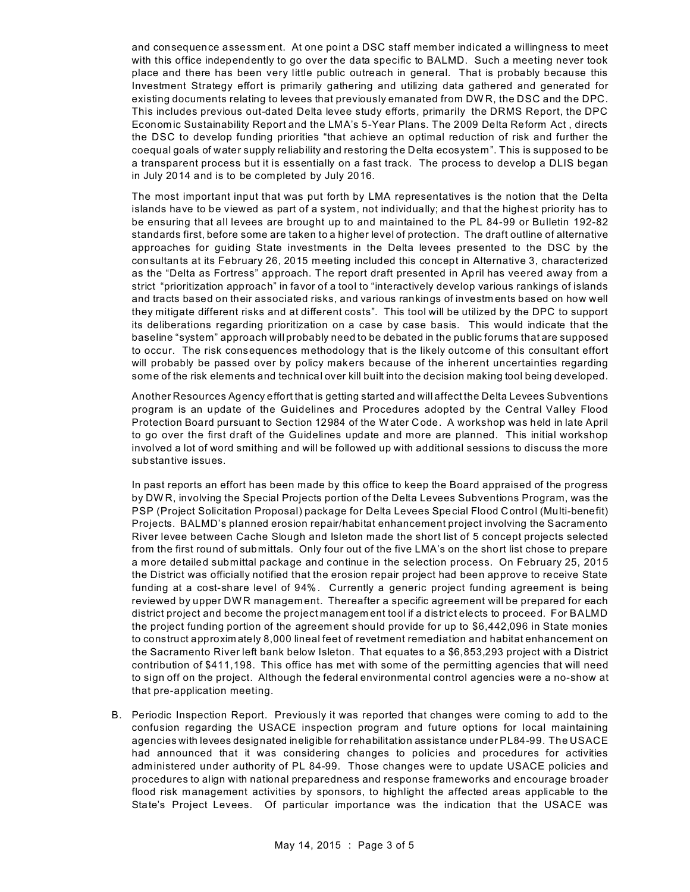and consequence assessm ent. At one point a DSC staff member indicated a willingness to meet with this office independently to go over the data specific to BALMD. Such a meeting never took place and there has been very little public outreach in general. That is probably because this Investment Strategy effort is primarily gathering and utilizing data gathered and generated for existing documents relating to levees that previously emanated from DW R, the DSC and the DPC. This includes previous out-dated Delta levee study efforts, primarily the DRMS Report, the DPC Econom ic Sustainability Report and the LMA's 5-Year Plans. The 2009 Delta Reform Act , directs the DSC to develop funding priorities "that achieve an optimal reduction of risk and further the coequal goals of water supply reliability and restoring the Delta ecosystem". This is supposed to be a transparent process but it is essentially on a fast track. The process to develop a DLIS began in July 2014 and is to be completed by July 2016.

The most important input that was put forth by LMA representatives is the notion that the Delta islands have to be viewed as part of a system, not individually; and that the highest priority has to be ensuring that all levees are brought up to and maintained to the PL 84-99 or Bulletin 192-82 standards first, before some are taken to a higher level of protection. The draft outline of alternative approaches for guiding State investments in the Delta levees presented to the DSC by the consultants at its February 26, 2015 meeting included this concept in Alternative 3, characterized as the "Delta as Fortress" approach. The report draft presented in April has veered away from a strict "prioritization approach" in favor of a tool to "interactively develop various rankings of islands and tracts based on their associated risks, and various rankings of investm ents based on how well they mitigate different risks and at different costs". This tool will be utilized by the DPC to support its deliberations regarding prioritization on a case by case basis. This would indicate that the baseline "system" approach will probably need to be debated in the public forums that are supposed to occur. The risk consequences methodology that is the likely outcome of this consultant effort will probably be passed over by policy makers because of the inherent uncertainties regarding some of the risk elements and technical over kill built into the decision making tool being developed.

Another Resources Agency effort that is getting started and will affect the Delta Levees Subventions program is an update of the Guidelines and Procedures adopted by the Central Valley Flood Protection Board pursuant to Section 12984 of the W ater Code. A workshop was held in late April to go over the first draft of the Guidelines update and more are planned. This initial workshop involved a lot of word smithing and will be followed up with additional sessions to discuss the more substantive issues.

In past reports an effort has been made by this office to keep the Board appraised of the progress by DW R, involving the Special Projects portion of the Delta Levees Subventions Program, was the PSP (Project Solicitation Proposal) package for Delta Levees Special Flood Control (Multi-benefit) Projects. BALMD's planned erosion repair/habitat enhancement project involving the Sacramento River levee between Cache Slough and Isleton made the short list of 5 concept projects selected from the first round of submittals. Only four out of the five LMA's on the short list chose to prepare a more detailed submittal package and continue in the selection process. On February 25, 2015 the District was officially notified that the erosion repair project had been approve to receive State funding at a cost-share level of 94%. Currently a generic project funding agreement is being reviewed by upper DWR managem ent. Thereafter a specific agreement will be prepared for each district project and become the project managem ent tool if a district elects to proceed. For BALMD the project funding portion of the agreement should provide for up to \$6,442,096 in State monies to construct approxim ately 8,000 lineal feet of revetment remediation and habitat enhancement on the Sacramento River left bank below Isleton. That equates to a \$6,853,293 project with a District contribution of \$411,198. This office has met with some of the permitting agencies that will need to sign off on the project. Although the federal environmental control agencies were a no-show at that pre-application meeting.

B. Periodic Inspection Report. Previously it was reported that changes were coming to add to the confusion regarding the USACE inspection program and future options for local maintaining agencies with levees designated ineligible for rehabilitation assistance under PL84-99. The USACE had announced that it was considering changes to policies and procedures for activities administered under authority of PL 84-99. Those changes were to update USACE policies and procedures to align with national preparedness and response frameworks and encourage broader flood risk management activities by sponsors, to highlight the affected areas applicable to the State's Project Levees. Of particular importance was the indication that the USACE was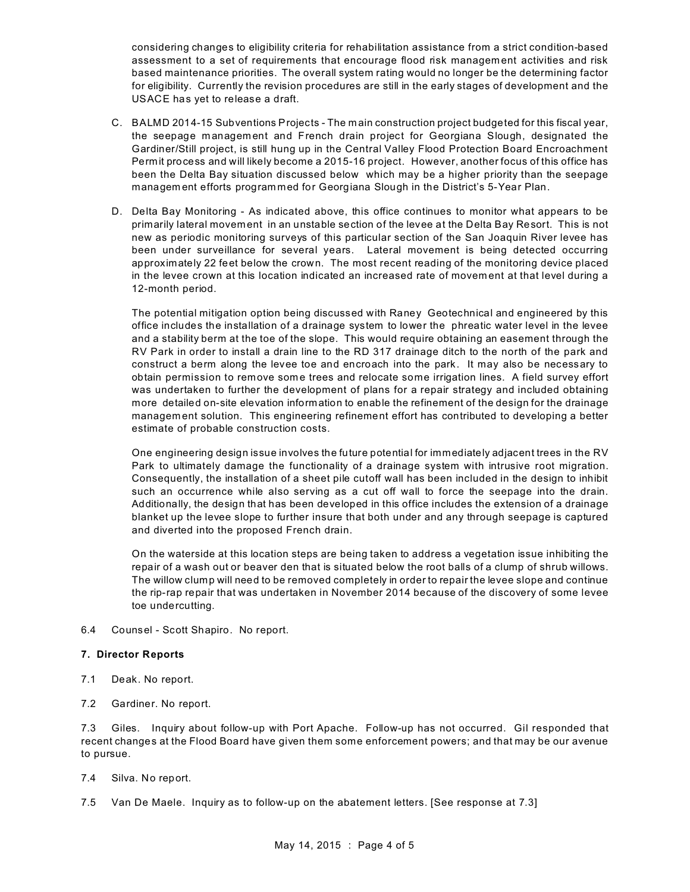considering changes to eligibility criteria for rehabilitation assistance from a strict condition-based assessment to a set of requirements that encourage flood risk managem ent activities and risk based maintenance priorities. The overall system rating would no longer be the determining factor for eligibility. Currently the revision procedures are still in the early stages of development and the USACE has yet to release a draft.

- C. BALMD 2014-15 Subventions Projects The m ain construction project budgeted for this fiscal year, the seepage m anagem ent and French drain project for Georgiana Slough, designated the Gardiner/Still project, is still hung up in the Central Valley Flood Protection Board Encroachment Permit process and will likely become a 2015-16 project. However, another focus of this office has been the Delta Bay situation discussed below which may be a higher priority than the seepage managem ent efforts program med for Georgiana Slough in the District's 5-Year Plan.
- D. Delta Bay Monitoring As indicated above, this office continues to monitor what appears to be primarily lateral movem ent in an unstable section of the levee at the Delta Bay Resort. This is not new as periodic monitoring surveys of this particular section of the San Joaquin River levee has been under surveillance for several years. Lateral movement is being detected occurring approximately 22 feet below the crown. The most recent reading of the monitoring device placed in the levee crown at this location indicated an increased rate of movem ent at that level during a 12-month period.

The potential mitigation option being discussed with Raney Geotechnical and engineered by this office includes the installation of a drainage system to lower the phreatic water level in the levee and a stability berm at the toe of the slope. This would require obtaining an easement through the RV Park in order to install a drain line to the RD 317 drainage ditch to the north of the park and construct a berm along the levee toe and encroach into the park. It may also be necessary to obtain permission to remove some trees and relocate some irrigation lines. A field survey effort was undertaken to further the development of plans for a repair strategy and included obtaining more detailed on-site elevation information to enable the refinement of the design for the drainage managem ent solution. This engineering refinement effort has contributed to developing a better estimate of probable construction costs.

One engineering design issue involves the future potential for immediately adjacent trees in the RV Park to ultimately damage the functionality of a drainage system with intrusive root migration. Consequently, the installation of a sheet pile cutoff wall has been included in the design to inhibit such an occurrence while also serving as a cut off wall to force the seepage into the drain. Additionally, the design that has been developed in this office includes the extension of a drainage blanket up the levee slope to further insure that both under and any through seepage is captured and diverted into the proposed French drain.

On the waterside at this location steps are being taken to address a vegetation issue inhibiting the repair of a wash out or beaver den that is situated below the root balls of a clump of shrub willows. The willow clump will need to be removed completely in order to repair the levee slope and continue the rip-rap repair that was undertaken in November 2014 because of the discovery of some levee toe undercutting.

6.4 Counsel - Scott Shapiro. No report.

## **7. Director Reports**

- 7.1 Deak. No report.
- 7.2 Gardiner. No report.

7.3 Giles. Inquiry about follow-up with Port Apache. Follow-up has not occurred. Gil responded that recent changes at the Flood Board have given them some enforcement powers; and that may be our avenue to pursue.

- 7.4 Silva. No report.
- 7.5 Van De Maele. Inquiry as to follow-up on the abatement letters. [See response at 7.3]